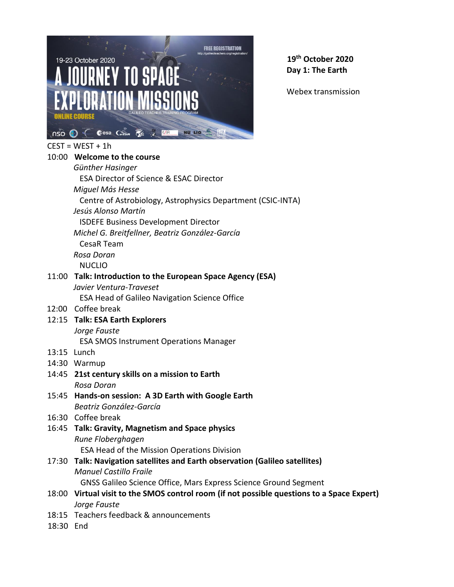

**19th October 2020 Day 1: The Earth**

Webex transmission

| CEST = WEST + 1h |  |
|------------------|--|
|------------------|--|

|           | 10:00 Welcome to the course                                                                |
|-----------|--------------------------------------------------------------------------------------------|
|           | Günther Hasinger                                                                           |
|           | <b>ESA Director of Science &amp; ESAC Director</b>                                         |
|           | Miguel Más Hesse                                                                           |
|           | Centre of Astrobiology, Astrophysics Department (CSIC-INTA)                                |
|           | Jesús Alonso Martín                                                                        |
|           | <b>ISDEFE Business Development Director</b>                                                |
|           | Michel G. Breitfellner, Beatriz González-García                                            |
|           | CesaR Team                                                                                 |
|           | Rosa Doran                                                                                 |
|           | <b>NUCLIO</b>                                                                              |
|           | 11:00 Talk: Introduction to the European Space Agency (ESA)                                |
|           | Javier Ventura-Traveset                                                                    |
|           | <b>ESA Head of Galileo Navigation Science Office</b>                                       |
|           | 12:00 Coffee break                                                                         |
|           | 12:15 Talk: ESA Earth Explorers                                                            |
|           | Jorge Fauste                                                                               |
|           | <b>ESA SMOS Instrument Operations Manager</b>                                              |
|           | 13:15 Lunch                                                                                |
|           | 14:30 Warmup                                                                               |
|           | 14:45 21st century skills on a mission to Earth                                            |
|           | Rosa Doran                                                                                 |
|           | 15:45 Hands-on session: A 3D Earth with Google Earth                                       |
|           | Beatriz González-García                                                                    |
|           | 16:30 Coffee break                                                                         |
|           | 16:45 Talk: Gravity, Magnetism and Space physics                                           |
|           | Rune Floberghagen                                                                          |
|           | ESA Head of the Mission Operations Division                                                |
|           | 17:30 Talk: Navigation satellites and Earth observation (Galileo satellites)               |
|           | <b>Manuel Castillo Fraile</b>                                                              |
|           | GNSS Galileo Science Office, Mars Express Science Ground Segment                           |
|           | 18:00 Virtual visit to the SMOS control room (if not possible questions to a Space Expert) |
|           | Jorge Fauste                                                                               |
|           | 18:15 Teachers feedback & announcements                                                    |
| 18:30 End |                                                                                            |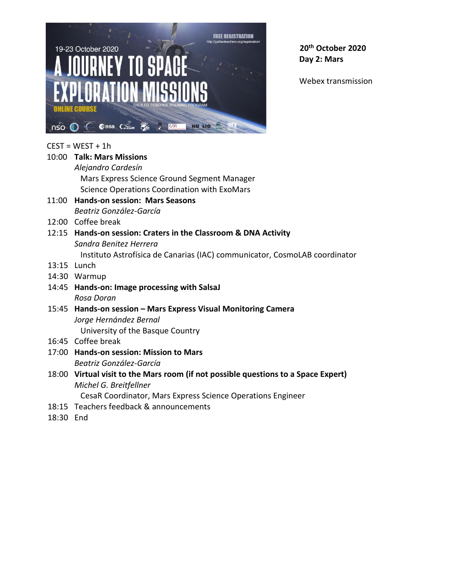

**20th October 2020 Day 2: Mars**

Webex transmission

## $CEST = WEST + 1h$

| 10:00 Talk: Mars Missions                                                  |
|----------------------------------------------------------------------------|
| Alejandro Cardesín                                                         |
| Mars Express Science Ground Segment Manager                                |
| Science Operations Coordination with ExoMars                               |
| 11:00 Hands-on session: Mars Seasons                                       |
| Beatriz González-García                                                    |
| 12:00 Coffee break                                                         |
| 12:15 Hands-on session: Craters in the Classroom & DNA Activity            |
| Sandra Benitez Herrera                                                     |
| Instituto Astrofísica de Canarias (IAC) communicator, CosmoLAB coordinator |
| 13:15 Lunch                                                                |
| 14:30 Warmup                                                               |
| 14:45 Hands-on: Image processing with SalsaJ                               |
| Rosa Doran                                                                 |
| 15:45 Hands-on session - Mars Express Visual Monitoring Camera             |
| Jorge Hernández Bernal                                                     |

University of the Basque Country

- 16:45 Coffee break
- 17:00 **Hands-on session: Mission to Mars** *Beatriz González-García*
- 18:00 **Virtual visit to the Mars room (if not possible questions to a Space Expert)** *Michel G. Breitfellner* CesaR Coordinator, Mars Express Science Operations Engineer
- 18:15 Teachers feedback & announcements
- 18:30 End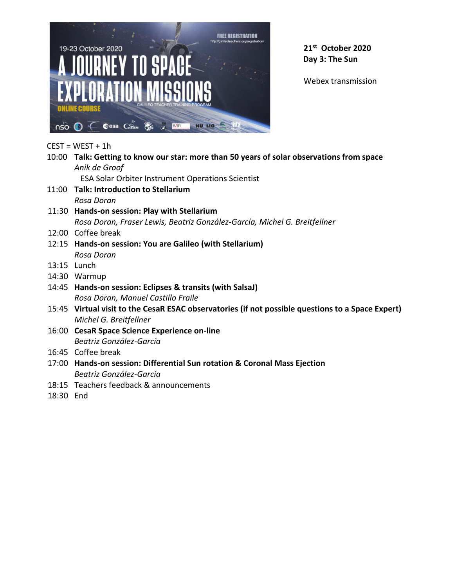

**21st October 2020 Day 3: The Sun**

 $CEST = WEST + 1h$ 

- 10:00 **Talk: Getting to know our star: more than 50 years of solar observations from space** *Anik de Groof* ESA Solar Orbiter Instrument Operations Scientist 11:00 **Talk: Introduction to Stellarium** *Rosa Doran* 11:30 **Hands-on session: Play with Stellarium** *Rosa Doran, Fraser Lewis, Beatriz González-García, Michel G. Breitfellner* 12:00 Coffee break 12:15 **Hands-on session: You are Galileo (with Stellarium)** *Rosa Doran* 13:15 Lunch 14:30 Warmup 14:45 **Hands-on session: Eclipses & transits (with SalsaJ)** *Rosa Doran, Manuel Castillo Fraile* 15:45 **Virtual visit to the CesaR ESAC observatories (if not possible questions to a Space Expert)** *Michel G. Breitfellner*  16:00 **CesaR Space Science Experience on-line** *Beatriz González-García*
- 16:45 Coffee break
- 17:00 **Hands-on session: Differential Sun rotation & Coronal Mass Ejection** *Beatriz González-García*
- 18:15 Teachers feedback & announcements
- 18:30 End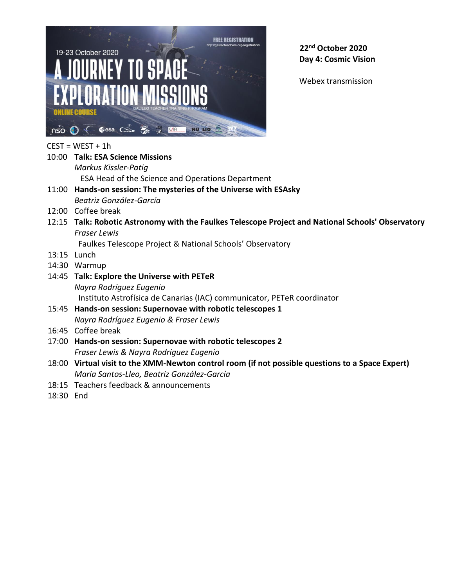

**22nd October 2020 Day 4: Cosmic Vision**

Webex transmission

## $CEST = WEST + 1h$

- 10:00 **Talk: ESA Science Missions** *Markus Kissler-Patig* ESA Head of the Science and Operations Department 11:00 **Hands-on session: The mysteries of the Universe with ESAsky** *Beatriz González-García* 12:00 Coffee break
- 12:15 **Talk: Robotic Astronomy with the Faulkes Telescope Project and National Schools' Observatory** *Fraser Lewis*

Faulkes Telescope Project & National Schools' Observatory

- 13:15 Lunch
- 14:30 Warmup
- 14:45 **Talk: Explore the Universe with PETeR** *Nayra Rodríguez Eugenio* Instituto Astrofísica de Canarias (IAC) communicator, PETeR coordinator
- 15:45 **Hands-on session: Supernovae with robotic telescopes 1** *Nayra Rodríguez Eugenio & Fraser Lewis*
- 16:45 Coffee break
- 17:00 **Hands-on session: Supernovae with robotic telescopes 2** *Fraser Lewis & Nayra Rodríguez Eugenio*
- 18:00 **Virtual visit to the XMM-Newton control room (if not possible questions to a Space Expert)** *Maria Santos-Lleo, Beatriz González-García*
- 18:15 Teachers feedback & announcements
- 18:30 End